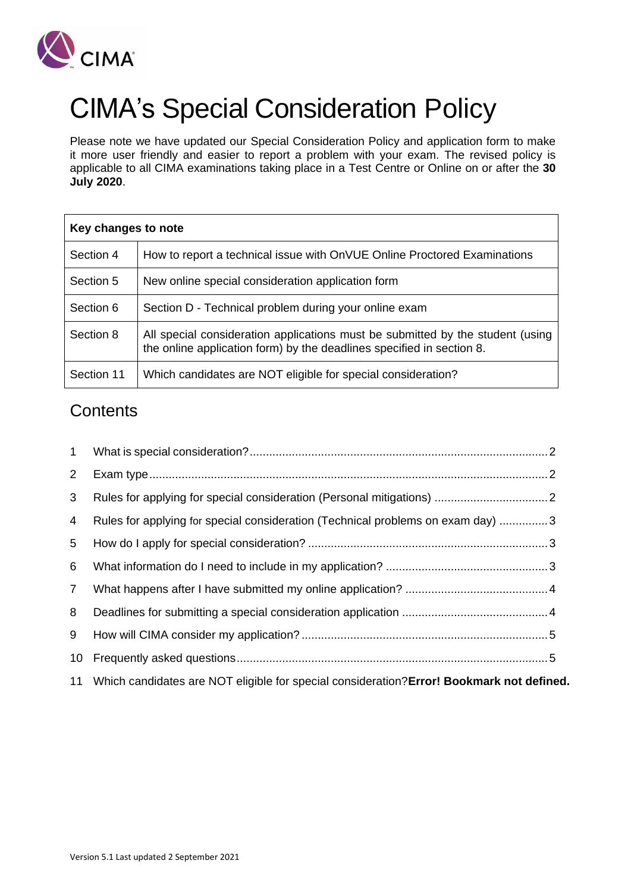

# CIMA's Special Consideration Policy

Please note we have updated our Special Consideration Policy and application form to make it more user friendly and easier to report a problem with your exam. The revised policy is applicable to all CIMA examinations taking place in a Test Centre or Online on or after the **30 July 2020**.

| Key changes to note |                                                                                                                                                         |  |
|---------------------|---------------------------------------------------------------------------------------------------------------------------------------------------------|--|
| Section 4           | How to report a technical issue with OnVUE Online Proctored Examinations                                                                                |  |
| Section 5           | New online special consideration application form                                                                                                       |  |
| Section 6           | Section D - Technical problem during your online exam                                                                                                   |  |
| Section 8           | All special consideration applications must be submitted by the student (using<br>the online application form) by the deadlines specified in section 8. |  |
| Section 11          | Which candidates are NOT eligible for special consideration?                                                                                            |  |

# **Contents**

| 1              |                                                                                              |  |
|----------------|----------------------------------------------------------------------------------------------|--|
| $2^{\circ}$    |                                                                                              |  |
| 3              |                                                                                              |  |
| 4              | Rules for applying for special consideration (Technical problems on exam day) 3              |  |
| 5              |                                                                                              |  |
| 6              |                                                                                              |  |
| $\overline{7}$ |                                                                                              |  |
| 8              |                                                                                              |  |
| 9              |                                                                                              |  |
| 10             |                                                                                              |  |
|                | 11 Which candidates are NOT eligible for special consideration? Error! Bookmark not defined. |  |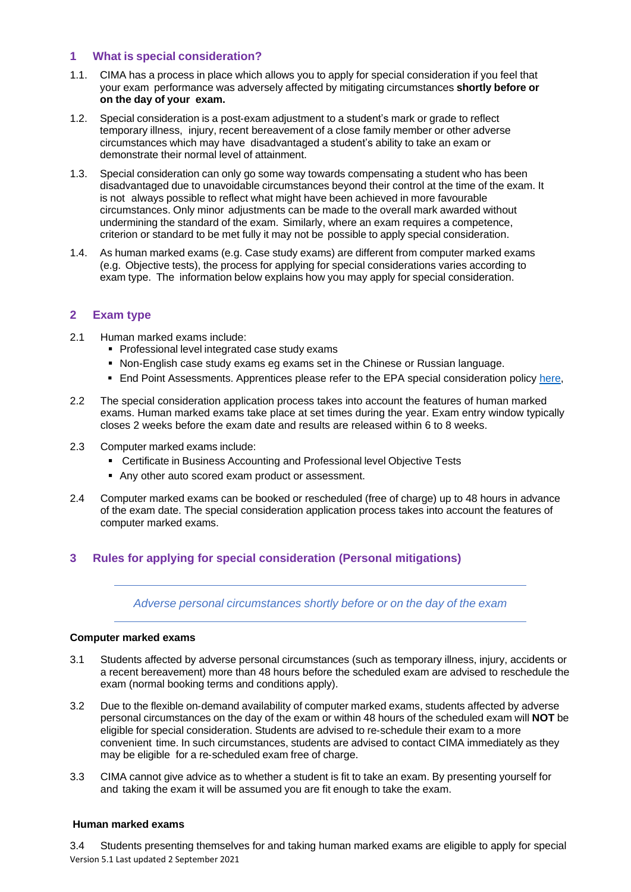#### <span id="page-1-0"></span>**1 What is special consideration?**

- 1.1. CIMA has a process in place which allows you to apply for special consideration if you feel that your exam performance was adversely affected by mitigating circumstances **shortly before or on the day of your exam.**
- 1.2. Special consideration is a post‐exam adjustment to a student's mark or grade to reflect temporary illness, injury, recent bereavement of a close family member or other adverse circumstances which may have disadvantaged a student's ability to take an exam or demonstrate their normal level of attainment.
- 1.3. Special consideration can only go some way towards compensating a student who has been disadvantaged due to unavoidable circumstances beyond their control at the time of the exam. It is not always possible to reflect what might have been achieved in more favourable circumstances. Only minor adjustments can be made to the overall mark awarded without undermining the standard of the exam. Similarly, where an exam requires a competence, criterion or standard to be met fully it may not be possible to apply special consideration.
- 1.4. As human marked exams (e.g. Case study exams) are different from computer marked exams (e.g. Objective tests), the process for applying for special considerations varies according to exam type. The information below explains how you may apply for special consideration.

# <span id="page-1-1"></span>**2 Exam type**

- 2.1 Human marked exams include:
	- Professional level integrated case study exams
	- Non-English case study exams eg exams set in the Chinese or Russian language.
	- **End Point Assessments. Apprentices please refer to the EPA special consideration policy [here,](http://www.cimaglobal.com/EPA)**
- 2.2 The special consideration application process takes into account the features of human marked exams. Human marked exams take place at set times during the year. Exam entry window typically closes 2 weeks before the exam date and results are released within 6 to 8 weeks.
- 2.3 Computer marked exams include:
	- Certificate in Business Accounting and Professional level Objective Tests
	- Any other auto scored exam product or assessment.
- 2.4 Computer marked exams can be booked or rescheduled (free of charge) up to 48 hours in advance of the exam date. The special consideration application process takes into account the features of computer marked exams.

#### <span id="page-1-2"></span>**3 Rules for applying for special consideration (Personal mitigations)**

*Adverse personal circumstances shortly before or on the day of the exam*

#### **Computer marked exams**

- 3.1 Students affected by adverse personal circumstances (such as temporary illness, injury, accidents or a recent bereavement) more than 48 hours before the scheduled exam are advised to reschedule the exam (normal booking terms and conditions apply).
- 3.2 Due to the flexible on‐demand availability of computer marked exams, students affected by adverse personal circumstances on the day of the exam or within 48 hours of the scheduled exam will **NOT** be eligible for special consideration. Students are advised to re‐schedule their exam to a more convenient time. In such circumstances, students are advised to contact CIMA immediately as they may be eligible for a re‐scheduled exam free of charge.
- 3.3 CIMA cannot give advice as to whether a student is fit to take an exam. By presenting yourself for and taking the exam it will be assumed you are fit enough to take the exam.

#### **Human marked exams**

Version 5.1 Last updated 2 September 2021 3.4 Students presenting themselves for and taking human marked exams are eligible to apply for special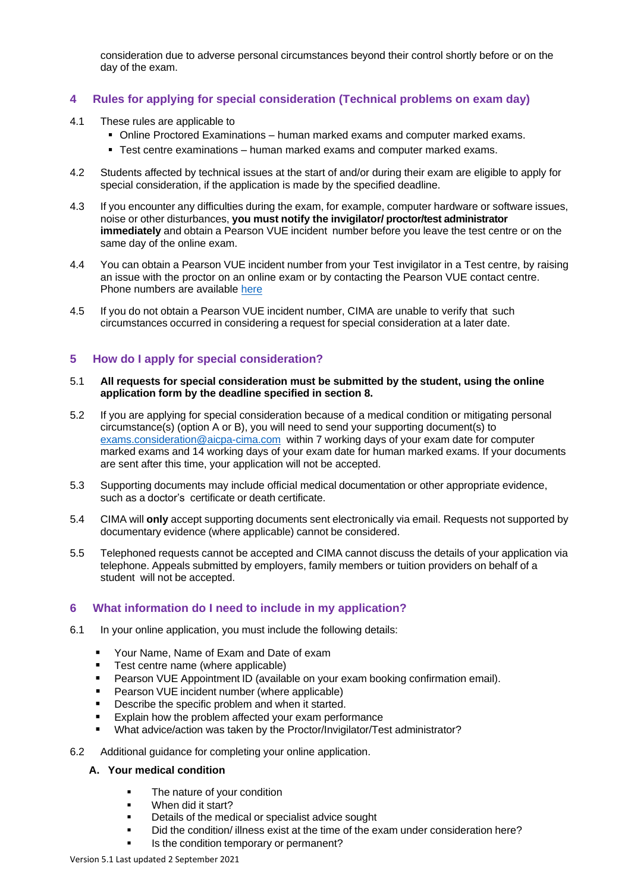consideration due to adverse personal circumstances beyond their control shortly before or on the day of the exam.

# <span id="page-2-0"></span>**4 Rules for applying for special consideration (Technical problems on exam day)**

- 4.1 These rules are applicable to
	- Online Proctored Examinations human marked exams and computer marked exams.
	- Test centre examinations human marked exams and computer marked exams.
- 4.2 Students affected by technical issues at the start of and/or during their exam are eligible to apply for special consideration, if the application is made by the specified deadline.
- 4.3 If you encounter any difficulties during the exam, for example, computer hardware or software issues, noise or other disturbances, **you must notify the invigilator/ proctor/test administrator immediately** and obtain a Pearson VUE incident number before you leave the test centre or on the same day of the online exam.
- 4.4 You can obtain a Pearson VUE incident number from your Test invigilator in a Test centre, by raising an issue with the proctor on an online exam or by contacting the Pearson VUE contact centre. Phone numbers are available [here](https://home.pearsonvue.com/cima/contact)
- 4.5 If you do not obtain a Pearson VUE incident number, CIMA are unable to verify that such circumstances occurred in considering a request for special consideration at a later date.

# <span id="page-2-1"></span>**5 How do I apply for special consideration?**

#### 5.1 **All requests for special consideration must be submitted by the student, using the online application form by the deadline specified in section 8.**

- 5.2 If you are applying for special consideration because of a medical condition or mitigating personal circumstance(s) (option A or B), you will need to send your supporting document(s) to [exams.consideration@aicpa-cima.com](mailto:exams.consideration@aicpa-cima.com) within 7 working days of your exam date for computer marked exams and 14 working days of your exam date for human marked exams. If your documents are sent after this time, your application will not be accepted.
- 5.3 Supporting documents may include official medical documentation or other appropriate evidence, such as a doctor's certificate or death certificate.
- 5.4 CIMA will **only** accept supporting documents sent electronically via email. Requests not supported by documentary evidence (where applicable) cannot be considered.
- 5.5 Telephoned requests cannot be accepted and CIMA cannot discuss the details of your application via telephone. Appeals submitted by employers, family members or tuition providers on behalf of a student will not be accepted.

# <span id="page-2-2"></span>**6 What information do I need to include in my application?**

- 6.1 In your online application, you must include the following details:
	- Your Name, Name of Exam and Date of exam
	- Test centre name (where applicable)
	- **Pearson VUE Appointment ID (available on your exam booking confirmation email).**
	- Pearson VUE incident number (where applicable)
	- Describe the specific problem and when it started.
	- Explain how the problem affected your exam performance
	- What advice/action was taken by the Proctor/Invigilator/Test administrator?
- 6.2 Additional guidance for completing your online application.

#### **A. Your medical condition**

- **•** The nature of your condition
- When did it start?
- Details of the medical or specialist advice sought
- Did the condition/ illness exist at the time of the exam under consideration here?
- Is the condition temporary or permanent?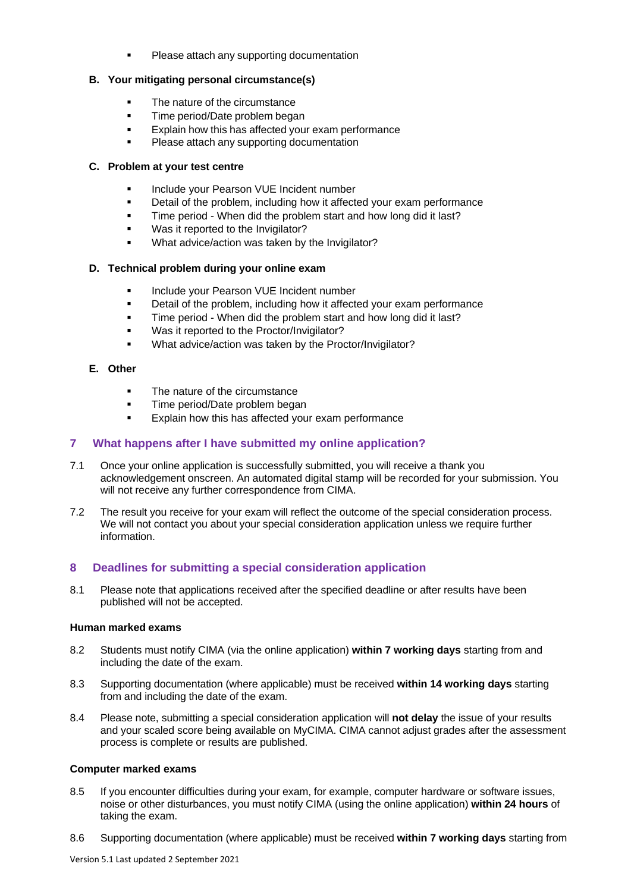Please attach any supporting documentation

#### **B. Your mitigating personal circumstance(s)**

- The nature of the circumstance
- **Time period/Date problem began**
- Explain how this has affected your exam performance
- Please attach any supporting documentation

#### **C. Problem at your test centre**

- Include your Pearson VUE Incident number
- Detail of the problem, including how it affected your exam performance
- **■** Time period When did the problem start and how long did it last?
- Was it reported to the Invigilator?
- What advice/action was taken by the Invigilator?

#### **D. Technical problem during your online exam**

- **■** Include your Pearson VUE Incident number
- **EXED** Detail of the problem, including how it affected your exam performance
- **■** Time period When did the problem start and how long did it last?
- Was it reported to the Proctor/Invigilator?
- What advice/action was taken by the Proctor/Invigilator?

# **E. Other**

- The nature of the circumstance
- Time period/Date problem began
- Explain how this has affected your exam performance

# <span id="page-3-0"></span>**7 What happens after I have submitted my online application?**

- 7.1 Once your online application is successfully submitted, you will receive a thank you acknowledgement onscreen. An automated digital stamp will be recorded for your submission. You will not receive any further correspondence from CIMA.
- 7.2 The result you receive for your exam will reflect the outcome of the special consideration process. We will not contact you about your special consideration application unless we require further information.

# <span id="page-3-1"></span>**8 Deadlines for submitting a special consideration application**

8.1 Please note that applications received after the specified deadline or after results have been published will not be accepted.

#### **Human marked exams**

- 8.2 Students must notify CIMA (via the online application) **within 7 working days** starting from and including the date of the exam.
- 8.3 Supporting documentation (where applicable) must be received **within 14 working days** starting from and including the date of the exam.
- 8.4 Please note, submitting a special consideration application will **not delay** the issue of your results and your scaled score being available on MyCIMA. CIMA cannot adjust grades after the assessment process is complete or results are published.

#### **Computer marked exams**

- 8.5 If you encounter difficulties during your exam, for example, computer hardware or software issues, noise or other disturbances, you must notify CIMA (using the online application) **within 24 hours** of taking the exam.
- 8.6 Supporting documentation (where applicable) must be received **within 7 working days** starting from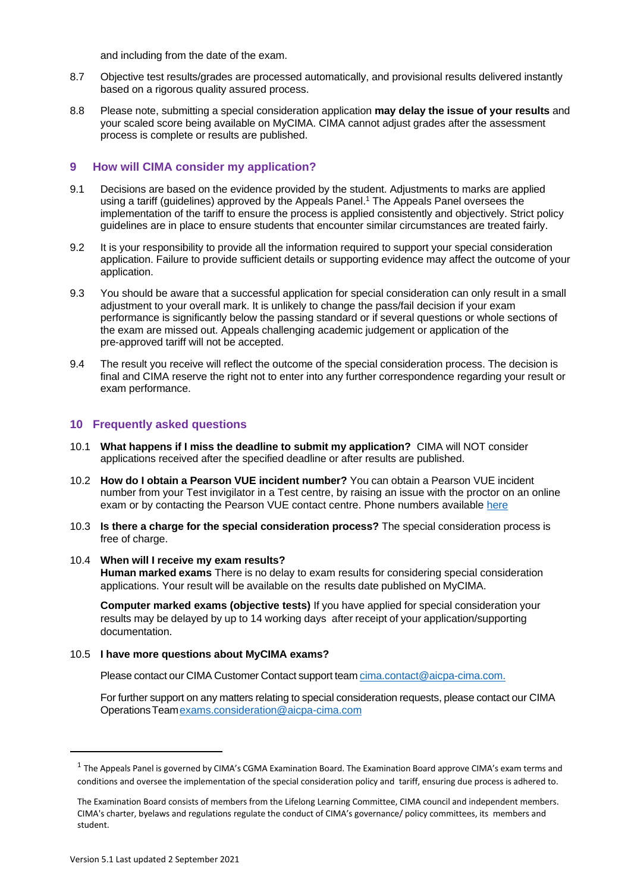and including from the date of the exam.

- 8.7 Objective test results/grades are processed automatically, and provisional results delivered instantly based on a rigorous quality assured process.
- 8.8 Please note, submitting a special consideration application **may delay the issue of your results** and your scaled score being available on MyCIMA. CIMA cannot adjust grades after the assessment process is complete or results are published.

# <span id="page-4-0"></span>**9 How will CIMA consider my application?**

- 9.1 Decisions are based on the evidence provided by the student. Adjustments to marks are applied using a tariff (guidelines) approved by the Appeals Panel.<sup>1</sup> The Appeals Panel oversees the implementation of the tariff to ensure the process is applied consistently and objectively. Strict policy guidelines are in place to ensure students that encounter similar circumstances are treated fairly.
- 9.2 It is your responsibility to provide all the information required to support your special consideration application. Failure to provide sufficient details or supporting evidence may affect the outcome of your application.
- 9.3 You should be aware that a successful application for special consideration can only result in a small adjustment to your overall mark. It is unlikely to change the pass/fail decision if your exam performance is significantly below the passing standard or if several questions or whole sections of the exam are missed out. Appeals challenging academic judgement or application of the pre‐approved tariff will not be accepted.
- 9.4 The result you receive will reflect the outcome of the special consideration process. The decision is final and CIMA reserve the right not to enter into any further correspondence regarding your result or exam performance.

# <span id="page-4-1"></span>**10 Frequently asked questions**

- 10.1 **What happens if I miss the deadline to submit my application?** CIMA will NOT consider applications received after the specified deadline or after results are published.
- 10.2 **How do I obtain a Pearson VUE incident number?** You can obtain a Pearson VUE incident number from your Test invigilator in a Test centre, by raising an issue with the proctor on an online exam or by contacting the Pearson VUE contact centre. Phone numbers available [here](https://home.pearsonvue.com/cima/contact)
- 10.3 **Is there a charge for the special consideration process?** The special consideration process is free of charge.

#### 10.4 **When will I receive my exam results?**

**Human marked exams** There is no delay to exam results for considering special consideration applications. Your result will be available on the results date published on MyCIMA.

**Computer marked exams (objective tests)** If you have applied for special consideration your results may be delayed by up to 14 working days after receipt of your application/supporting documentation.

#### 10.5 **I have more questions about MyCIMA exams?**

Please contact our CIMA Customer Contact support team [cima.contact@aicpa-cima.com.](mailto:cima.contact@aicpa-cima.com)

For further support on any matters relating to special consideration requests, please contact our CIMA OperationsTea[mexams.consideration@aicpa-cima.com](mailto:exams.consideration@aicpa-cima.com)

 $^1$  The Appeals Panel is governed by CIMA's CGMA Examination Board. The Examination Board approve CIMA's exam terms and conditions and oversee the implementation of the special consideration policy and tariff, ensuring due process is adhered to.

The Examination Board consists of members from the Lifelong Learning Committee, CIMA council and independent members. CIMA's charter, byelaws and regulations regulate the conduct of CIMA's governance/ policy committees, its members and student.